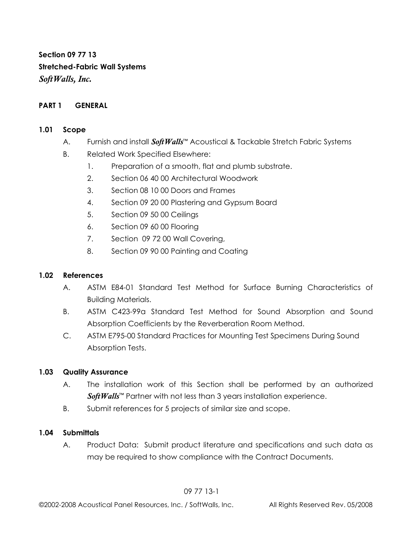**Section 09 77 13 Stretched-Fabric Wall Systems**  *SoftWalls, Inc.* 

#### **PART 1 GENERAL**

#### **1.01 Scope**

- A. Furnish and install *SoftWalls*™ Acoustical & Tackable Stretch Fabric Systems
- B. Related Work Specified Elsewhere:
	- 1. Preparation of a smooth, flat and plumb substrate.
	- 2. Section 06 40 00 Architectural Woodwork
	- 3. Section 08 10 00 Doors and Frames
	- 4. Section 09 20 00 Plastering and Gypsum Board
	- 5. Section 09 50 00 Ceilings
	- 6. Section 09 60 00 Flooring
	- 7. Section 09 72 00 Wall Covering,
	- 8. Section 09 90 00 Painting and Coating

#### **1.02 References**

- A. ASTM E84-01 Standard Test Method for Surface Burning Characteristics of Building Materials.
- B. ASTM C423-99a Standard Test Method for Sound Absorption and Sound Absorption Coefficients by the Reverberation Room Method.
- C. ASTM E795-00 Standard Practices for Mounting Test Specimens During Sound Absorption Tests.

#### **1.03 Quality Assurance**

- A. The installation work of this Section shall be performed by an authorized Soft Walls<sup>™</sup> Partner with not less than 3 years installation experience.
- B. Submit references for 5 projects of similar size and scope.

#### **1.04 Submittals**

 A. Product Data: Submit product literature and specifications and such data as may be required to show compliance with the Contract Documents.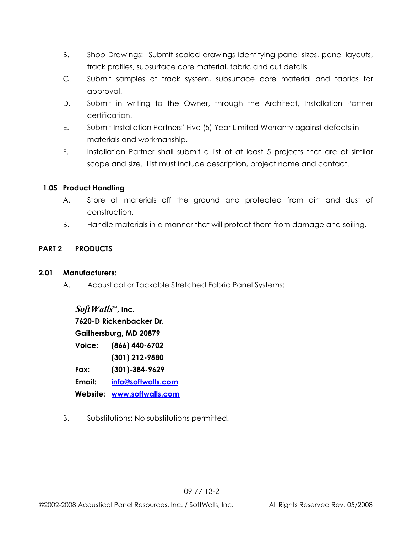- B. Shop Drawings: Submit scaled drawings identifying panel sizes, panel layouts, track profiles, subsurface core material, fabric and cut details.
- C. Submit samples of track system, subsurface core material and fabrics for approval.
- D. Submit in writing to the Owner, through the Architect, Installation Partner certification.
- E. Submit Installation Partners' Five (5) Year Limited Warranty against defects in materials and workmanship.
- F. Installation Partner shall submit a list of at least 5 projects that are of similar scope and size. List must include description, project name and contact.

## **1.05 Product Handling**

- A. Store all materials off the ground and protected from dirt and dust of construction.
- B. Handle materials in a manner that will protect them from damage and soiling.

## **PART 2 PRODUCTS**

## **2.01 Manufacturers:**

A. Acoustical or Tackable Stretched Fabric Panel Systems:

 *SoftWalls*™**, Inc. 7620-D Rickenbacker Dr. Gaithersburg, MD 20879 Voice: (866) 440-6702 (301) 212-9880 Fax: (301)-384-9629 Email: info@softwalls.com Website: www.softwalls.com**

B.Substitutions: No substitutions permitted.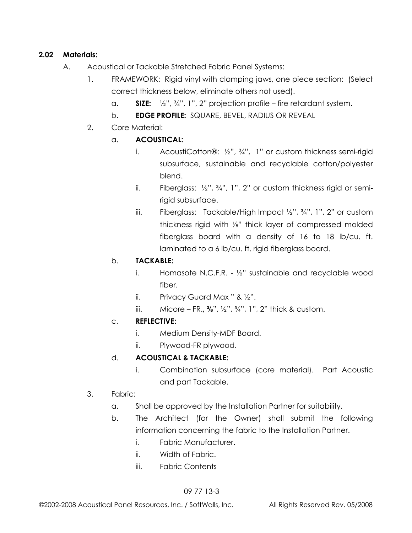## **2.02 Materials:**

- A. Acoustical or Tackable Stretched Fabric Panel Systems:
	- 1. FRAMEWORK:Rigid vinyl with clamping jaws, one piece section: (Select correct thickness below, eliminate others not used).
		- a. **SIZE:** ½", ¾", 1", 2" projection profile fire retardant system.
		- b. **EDGE PROFILE:** SQUARE, BEVEL, RADIUS OR REVEAL
	- 2. Core Material:
		- a. **ACOUSTICAL:** 
			- i.AcoustiCotton®: ½", ¾", 1" or custom thickness semi-rigid subsurface, sustainable and recyclable cotton/polyester blend.
			- ii. Fiberglass: ½", ¾", 1", 2" or custom thickness rigid or semirigid subsurface.
			- iii. Fiberglass: Tackable/High Impact ½", ¾", 1", 2" or custom thickness rigid with ⅛" thick layer of compressed molded fiberglass board with a density of 16 to 18 lb/cu. ft. laminated to a 6 lb/cu. ft. rigid fiberglass board.

# b. **TACKABLE:**

- i.Homasote N.C.F.R. ½" sustainable and recyclable wood fiber.
- ii. Privacy Guard Max " & ½".
- iii. Micore FR.**, ⅜**", ½", ¾", 1", 2" thick & custom.

# c. **REFLECTIVE:**

- i. Medium Density-MDF Board.
- ii. Plywood-FR plywood.

# d. **ACOUSTICAL & TACKABLE:**

 i. Combination subsurface (core material). Part Acoustic and part Tackable.

# 3. Fabric:

- a. Shall be approved by the Installation Partner for suitability.
- b. The Architect (for the Owner) shall submit the following information concerning the fabric to the Installation Partner.
	- i. Fabric Manufacturer.
	- ii. Width of Fabric.
	- iii. Fabric Contents

# 09 77 13-3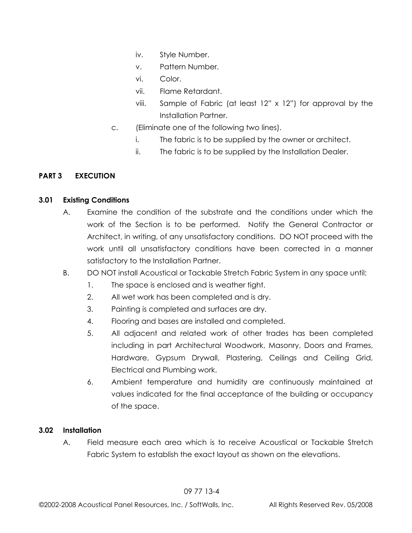- iv. Style Number.
- v. Pattern Number.
- vi. Color.
- vii. Flame Retardant.
- viii. Sample of Fabric (at least 12" x 12") for approval by the Installation Partner.
- c. (Eliminate one of the following two lines).
	- i. The fabric is to be supplied by the owner or architect.
	- ii. The fabric is to be supplied by the Installation Dealer.

## **PART 3 EXECUTION**

## **3.01 Existing Conditions**

- A. Examine the condition of the substrate and the conditions under which the work of the Section is to be performed. Notify the General Contractor or Architect, in writing, of any unsatisfactory conditions. DO NOT proceed with the work until all unsatisfactory conditions have been corrected in a manner satisfactory to the Installation Partner.
- B. DO NOT install Acoustical or Tackable Stretch Fabric System in any space until:
	- 1. The space is enclosed and is weather tight.
	- 2. All wet work has been completed and is dry.
	- 3. Painting is completed and surfaces are dry.
	- 4. Flooring and bases are installed and completed.
	- 5. All adjacent and related work of other trades has been completed including in part Architectural Woodwork, Masonry, Doors and Frames, Hardware, Gypsum Drywall, Plastering, Ceilings and Ceiling Grid, Electrical and Plumbing work.
	- 6. Ambient temperature and humidity are continuously maintained at values indicated for the final acceptance of the building or occupancy of the space.

## **3.02 Installation**

A. Field measure each area which is to receive Acoustical or Tackable Stretch Fabric System to establish the exact layout as shown on the elevations.